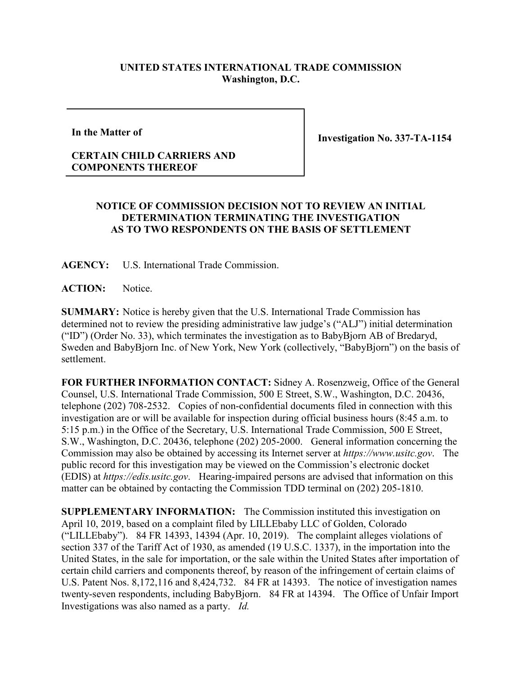## **UNITED STATES INTERNATIONAL TRADE COMMISSION Washington, D.C.**

**In the Matter of**

**Investigation No. 337-TA-1154**

## **CERTAIN CHILD CARRIERS AND COMPONENTS THEREOF**

## **NOTICE OF COMMISSION DECISION NOT TO REVIEW AN INITIAL DETERMINATION TERMINATING THE INVESTIGATION AS TO TWO RESPONDENTS ON THE BASIS OF SETTLEMENT**

**AGENCY:** U.S. International Trade Commission.

ACTION: Notice.

**SUMMARY:** Notice is hereby given that the U.S. International Trade Commission has determined not to review the presiding administrative law judge's ("ALJ") initial determination ("ID") (Order No. 33), which terminates the investigation as to BabyBjorn AB of Bredaryd, Sweden and BabyBjorn Inc. of New York, New York (collectively, "BabyBjorn") on the basis of settlement.

**FOR FURTHER INFORMATION CONTACT:** Sidney A. Rosenzweig, Office of the General Counsel, U.S. International Trade Commission, 500 E Street, S.W., Washington, D.C. 20436, telephone (202) 708-2532. Copies of non-confidential documents filed in connection with this investigation are or will be available for inspection during official business hours (8:45 a.m. to 5:15 p.m.) in the Office of the Secretary, U.S. International Trade Commission, 500 E Street, S.W., Washington, D.C. 20436, telephone (202) 205-2000. General information concerning the Commission may also be obtained by accessing its Internet server at *https://www.usitc.gov*. The public record for this investigation may be viewed on the Commission's electronic docket (EDIS) at *https://edis.usitc.gov*. Hearing-impaired persons are advised that information on this matter can be obtained by contacting the Commission TDD terminal on (202) 205-1810.

**SUPPLEMENTARY INFORMATION:** The Commission instituted this investigation on April 10, 2019, based on a complaint filed by LILLEbaby LLC of Golden, Colorado ("LILLEbaby"). 84 FR 14393, 14394 (Apr. 10, 2019). The complaint alleges violations of section 337 of the Tariff Act of 1930, as amended (19 U.S.C. 1337), in the importation into the United States, in the sale for importation, or the sale within the United States after importation of certain child carriers and components thereof, by reason of the infringement of certain claims of U.S. Patent Nos. 8,172,116 and 8,424,732. 84 FR at 14393. The notice of investigation names twenty-seven respondents, including BabyBjorn. 84 FR at 14394. The Office of Unfair Import Investigations was also named as a party. *Id.*